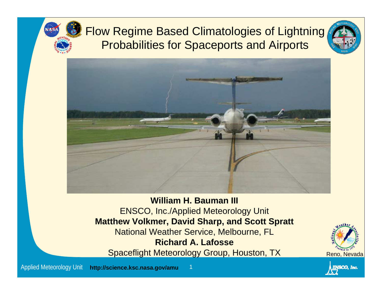

#### Flow Regime Based Climatologies of Lightning Probabilities for Spaceports and Airports





**William H. Bauman III**ENSCO, Inc./Applied Meteorology Unit **Matthew Volkmer, David Sharp, and Scott Spratt** National Weather Service, Melbourne, FL **Richard A. Lafosse**Spaceflight Meteorology Group, Houston, TX Reno, Nevada



ENSCO, Inc.

Applied Meteorology Unit **http://science.ksc.nasa.gov/amu** <sup>1</sup>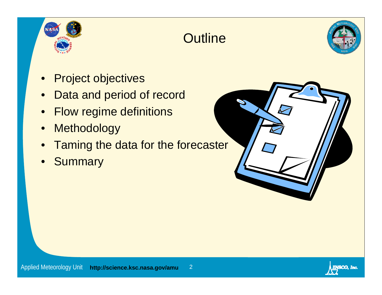





- •Project objectives
- •Data and period of record
- •Flow regime definitions
- •**Methodology**
- $\bullet$ Taming the data for the forecaster
- •**Summary**



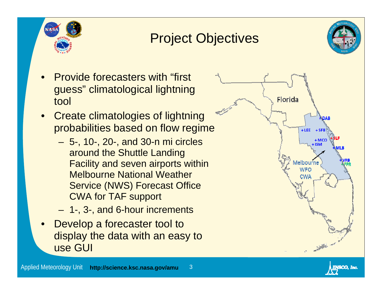

## Project Objectives



- • Provide forecasters with "first guess" climatological lightning tool
- • Create climatologies of lightning probabilities based on flow regime
	- 5-, 10-, 20-, and 30-n mi circles around the Shuttle Landing Facility and seven airports within Melbourne National Weather Service (NWS) Forecast Office CWA for TAF support
	- 1-, 3-, and 6-hour increments
- • Develop a forecaster tool to display the data with an easy to use GUI



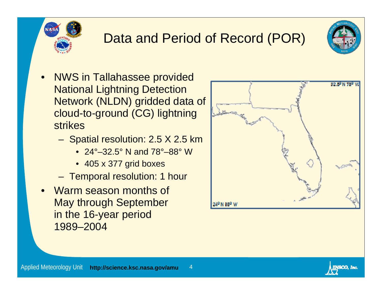

# Data and Period of Record (POR)



- • NWS in Tallahassee provided National Lightning Detection Network (NLDN) gridded data of cloud-to-ground (CG) lightning strikes
	- Spatial resolution: 2.5 X 2.5 km
		- 24°–32.5° N and 78°–88° W
		- 405 x 377 grid boxes
	- Temporal resolution: 1 hour
- • Warm season months of May through September in the 16-year period 1989–2004



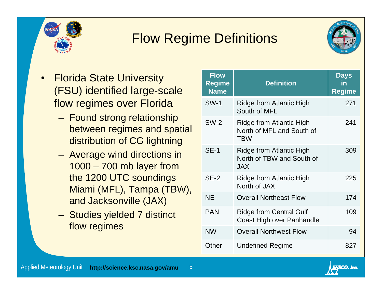

## Flow Regime Definitions



ENSCO, Inc.

- • Florida State University (FSU) identified large-scale flow regimes over Florida
	- Found strong relationship between regimes and spatial distribution of CG lightning
	- Average wind directions in 1000 – 700 mb layer from the 1200 UTC soundings Miami (MFL), Tampa (TBW), and Jacksonville (JAX)
	- Studies yielded 7 distinct flow regimes

| <b>Flow</b><br>Regime<br><b>Name</b> | <b>Definition</b>                                                          | <b>Days</b><br>in<br><b>Regime</b> |
|--------------------------------------|----------------------------------------------------------------------------|------------------------------------|
| <b>SW-1</b>                          | <b>Ridge from Atlantic High</b><br>South of MFL                            | 271                                |
| <b>SW-2</b>                          | Ridge from Atlantic High<br>North of MFL and South of<br><b>TBW</b>        | 241                                |
| <b>SE-1</b>                          | <b>Ridge from Atlantic High</b><br>North of TBW and South of<br><b>JAX</b> | 309                                |
| $SE-2$                               | Ridge from Atlantic High<br>North of JAX                                   | 225                                |
| <b>NE</b>                            | <b>Overall Northeast Flow</b>                                              | 174                                |
| <b>PAN</b>                           | <b>Ridge from Central Gulf</b><br>Coast High over Panhandle                | 109                                |
| <b>NW</b>                            | <b>Overall Northwest Flow</b>                                              | 94                                 |
| Other                                | <b>Undefined Regime</b>                                                    | 827                                |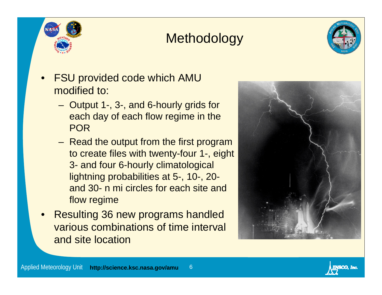

## **Methodology**



- • FSU provided code which AMU modified to:
	- Output 1-, 3-, and 6-hourly grids for each day of each flow regime in the POR
	- Read the output from the first program to create files with twenty-four 1-, eight 3- and four 6-hourly climatological lightning probabilities at 5-, 10-, 20 and 30- n mi circles for each site and flow regime
- • Resulting 36 new programs handled various combinations of time interval and site location

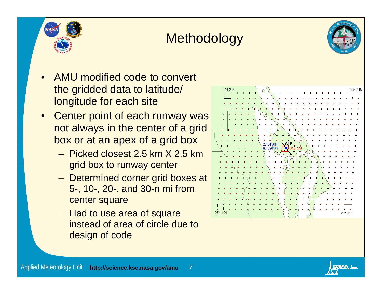





- • AMU modified code to convert the gridded data to latitude/ longitude for each site
- • Center point of each runway was not always in the center of a grid box or at an apex of a grid box
	- Picked closest 2.5 km X 2.5 km grid box to runway center
	- Determined corner grid boxes at 5-, 10-, 20-, and 30-n mi from center square
	- Had to use area of square instead of area of circle due to design of code



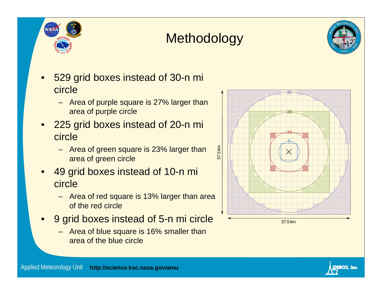

## **Methodology**



- • 529 grid boxes instead of 30-n mi circle
	- Area of purple square is 27% larger than area of purple circle
- • 225 grid boxes instead of 20-n mi circle
	- Area of green square is 23% larger than area of green circle
- • 49 grid boxes instead of 10-n mi circle
	- Area of red square is 13% larger than area of the red circle
- • 9 grid boxes instead of 5-n mi circle
	- Area of blue square is 16% smaller than area of the blue circle



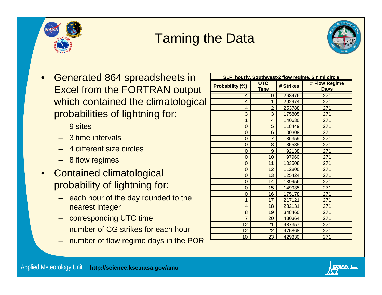

## Taming the Data



- • Generated 864 spreadsheets in Excel from the FORTRAN output which contained the climatological probabilities of lightning for:
	- 9 sites
	- –3 time intervals
	- 4 different size circles
	- 8 flow regimes
- • Contained climatological probability of lightning for:
	- each hour of the day rounded to the nearest integer
	- corresponding UTC time
	- number of CG strikes for each hour
	- –number of flow regime days in the POR

| SLF, hourly, Southwest-2 flow regime, 5 n mi circle |                           |           |                              |  |  |  |  |  |
|-----------------------------------------------------|---------------------------|-----------|------------------------------|--|--|--|--|--|
| <b>Probability (%)</b>                              | <b>UTC</b><br><b>Time</b> | # Strikes | # Flow Regime<br><b>Days</b> |  |  |  |  |  |
| 4                                                   | 0                         | 268476    | 271                          |  |  |  |  |  |
| 4                                                   | 1                         | 292974    | 271                          |  |  |  |  |  |
| 4                                                   | $\overline{2}$            | 253788    | 271                          |  |  |  |  |  |
| 3                                                   | 3                         | 175805    | 271                          |  |  |  |  |  |
| 1                                                   | $\overline{4}$            | 140630    | 271                          |  |  |  |  |  |
| 0                                                   | 5                         | 118449    | 271                          |  |  |  |  |  |
| $\overline{0}$                                      | 6                         | 100309    | 271                          |  |  |  |  |  |
| $\overline{0}$                                      | $\overline{7}$            | 86359     | 271                          |  |  |  |  |  |
| $\overline{0}$                                      | 8                         | 85585     | 271                          |  |  |  |  |  |
| $\overline{0}$                                      | 9                         | 92138     | 271                          |  |  |  |  |  |
| 0                                                   | 10                        | 97960     | 271                          |  |  |  |  |  |
| 0                                                   | 11                        | 103508    | 271                          |  |  |  |  |  |
| $\overline{0}$                                      | 12                        | 112800    | 271                          |  |  |  |  |  |
| 0                                                   | 13                        | 125424    | 271                          |  |  |  |  |  |
| 0                                                   | 14                        | 139956    | 271                          |  |  |  |  |  |
| $\overline{0}$                                      | 15                        | 149935    | 271                          |  |  |  |  |  |
| 0                                                   | 16                        | 175178    | 271                          |  |  |  |  |  |
| 1                                                   | 17                        | 217121    | 271                          |  |  |  |  |  |
| $\overline{4}$                                      | 18                        | 282131    | 271                          |  |  |  |  |  |
| 8                                                   | 19                        | 348460    | 271                          |  |  |  |  |  |
| $\overline{7}$                                      | 20                        | 430364    | 271                          |  |  |  |  |  |
| 12                                                  | 21                        | 487357    | 271                          |  |  |  |  |  |
| 12                                                  | 22                        | 475868    | 271                          |  |  |  |  |  |
| 10                                                  | 23                        | 429330    | 271                          |  |  |  |  |  |

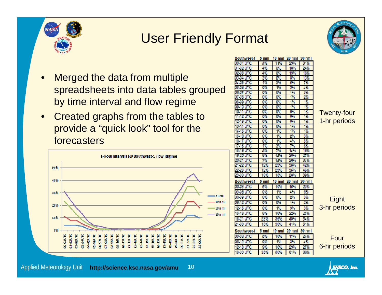

#### User Friendly Format



- • Merged the data from multiple spreadsheets into data tables grouped by time interval and flow regime
- $\bullet$  Created graphs from the tables to provide a "quick look" tool for the forecasters



| Southwest 1         | 5 nml          | 10 nml | $20 \text{ nm}$ | 30 mml               |     |
|---------------------|----------------|--------|-----------------|----------------------|-----|
| 00.01<br>ure        | 4%             | 11%    | 23%             | 31%                  |     |
| 01.02<br>ure        | 4%             | 8%     | 18%             | 24%                  |     |
| 02.03 UTC           | 4%             | 8%     | 13%             | 18%                  |     |
| 03.04<br>ure        | $\frac{20}{5}$ | 6%     | 8%              | 13%                  |     |
| 04.06 UTC           | 1%             | 3%     | 6%              | 7%                   |     |
| 06.0G<br>ure        | 0%             | 1%     | 3%              | 4%                   |     |
| urc<br>06.OZ        | 0%             | 0%     | 1%              | 3%                   |     |
| 07.08<br>UТC        | 0%             | 0%     | 1%              | 2%                   |     |
| 08.09<br><b>UTC</b> | 0%             | 0%     | 1%              | 1%                   |     |
| 09-10<br>ure        | 0%             | 0%     | 1%              | 1%                   |     |
| 10. J<br>лс         | 0%             | 0%     | O%              | -1%                  | Tw  |
| -12<br>ure          | 0%             | 0%     | 0%              | 1%                   |     |
| 2.13<br>ure         | 0%             | 0%     | 0%              | 1%                   | 1-h |
| UTC<br>13-14        | 0%             | 0%     | 1%              | 1%                   |     |
| ure<br>4-15         | 0%             | 1%     | 1%              | 1%                   |     |
| θ<br>ute<br>6-1     | 0%             | 1%     | 2%              | 3%                   |     |
| 16-1<br>ите         | 0%             | 1%     | 4%              | 6%                   |     |
| UTC<br>8            | 1%             | 3%     | 7%              | 8%                   |     |
| 18-19<br>urc        | 4%             | $7\%$  | 14%             | 19%                  |     |
| 19-20<br>ure        | 8%             | 14%    | 20%             | 27%                  |     |
| 20.2<br>ure         | 7%             | 14%    | 28%             | 34%                  |     |
| 22<br>ute           | 12%            | 23%    | 36%             | 42%                  |     |
| 22.23<br>utc        | 12%            | 23%    | 36%             | 46%                  |     |
| 23 00 UTC           | 10%            | 18%    | 28%             | 39%                  |     |
| Southwest 1         | $6 \text{ nm}$ | 10 nml | $20$ nm $1$     | $30$ nm $\textsf{I}$ |     |
| 00.03 UTC           | 6%             | 10%    | 16%             | 23%                  |     |
| 03 06 UTC           | 0%             | 1%     | 4%              | 6%                   |     |
| 06.09 UTC           | 0%             | 0%     | 2%              | 3%                   |     |
| 09-12 UTC           | 0%             | 0%     | 1%              | 2%                   |     |
| 12-16 UTC           | 0%             | 1%     | 3%              | 3%                   | 3-h |
| 16-18 UTC           | 8%             | 16%    | 22%             | 27%                  |     |
| 18-21<br><b>UTC</b> | 23%            | 36%    | 49%             | 64%                  |     |
| .00 UTC             | 18%            | 30%    | 41%             | 61%                  |     |
| Southwest 1         | 5 nml          | 10 nml | $20$ nm $1$     | 30 mml               |     |
| 00.06 UTC           | 6%             | 10%    | 17%             | 24%                  |     |
| 06-12 UTC           | 0%             | 1%     | 3%              | 4%                   |     |
| 12-18 UTC           | 9%             | 16%    | 23%             | 27%                  | 6-h |
| 18.00 UTC           | 36%            | 60%    | 61%             | 66%                  |     |
|                     |                |        |                 |                      |     |

enty-four **nr periods** 

**Eight ir periods** 

Four**nr periods** 

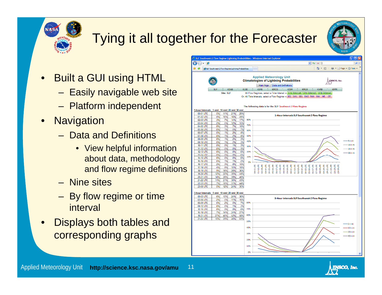

# Tying it all together for the Forecaster

- • Built a GUI using HTML
	- Easily navigable web site
	- Platform independent
- •**Navigation** 
	- Data and Definitions
		- View helpful information about data, methodology and flow regime definitions
	- Nine sites
	- By flow regime or time interval
- • Displays both tables and corresponding graphs